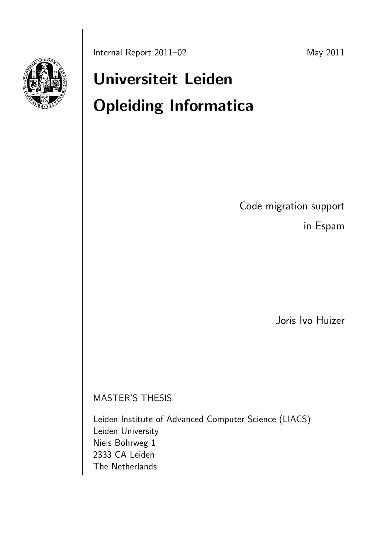# Universiteit Leiden Opleiding Informatica

Code migration support

in Espam

Joris Ivo Huizer

MASTER'S THESIS

Leiden Institute of Advanced Computer Science (LIACS) Leiden University Niels Bohrweg 1 2333 CA Leiden The Netherlands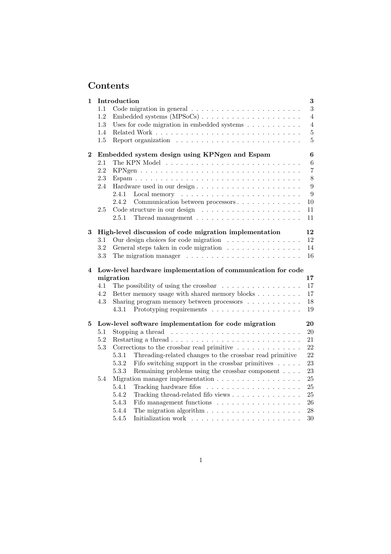# Contents

| 1        |         | Introduction                                                                         | $\bf{3}$       |
|----------|---------|--------------------------------------------------------------------------------------|----------------|
|          | 1.1     |                                                                                      | 3              |
|          | 1.2     |                                                                                      | $\overline{4}$ |
|          | 1.3     | Uses for code migration in embedded systems $\ldots \ldots \ldots$                   | $\overline{4}$ |
|          | 1.4     |                                                                                      | $\bf 5$        |
|          | $1.5\,$ |                                                                                      | 5              |
| $\bf{2}$ |         | Embedded system design using KPNgen and Espam                                        | $\bf{6}$       |
|          | 2.1     |                                                                                      | 6              |
|          | 2.2     |                                                                                      | $\overline{7}$ |
|          | 2.3     |                                                                                      | 8              |
|          | 2.4     | Hardware used in our design                                                          | 9              |
|          |         | 2.4.1                                                                                | 9              |
|          |         | 2.4.2                                                                                | 10             |
|          | 2.5     |                                                                                      | 11             |
|          |         | Thread management $\ldots \ldots \ldots \ldots \ldots \ldots \ldots$<br>2.5.1        | 11             |
| 3        |         | High-level discussion of code migration implementation                               | 12             |
|          | 3.1     | Our design choices for code migration $\ldots \ldots \ldots \ldots \ldots$           | 12             |
|          | 3.2     | General steps taken in code migration                                                | 14             |
|          | 3.3     | The migration manager $\dots \dots \dots \dots \dots \dots \dots \dots$              | 16             |
|          |         |                                                                                      |                |
| 4        |         | Low-level hardware implementation of communication for code                          |                |
|          |         | migration                                                                            | 17             |
|          | 4.1     | The possibility of using the crossbar $\ldots \ldots \ldots \ldots \ldots$           | 17             |
|          | 4.2     | Better memory usage with shared memory blocks                                        | 17             |
|          | 4.3     | Sharing program memory between processors                                            | $18\,$         |
|          |         | 4.3.1                                                                                | 19             |
| 5        |         | Low-level software implementation for code migration                                 | 20             |
|          | 5.1     |                                                                                      | 20             |
|          | 5.2     | Restarting a thread $\ldots \ldots \ldots \ldots \ldots \ldots \ldots \ldots \ldots$ | 21             |
|          | $5.3\,$ | Corrections to the crossbar read primitive $\dots \dots \dots \dots$                 | 22             |
|          |         | 5.3.1<br>Threading-related changes to the crossbar read primitive                    | 22             |
|          |         | 5.3.2<br>Fifo switching support in the crossbar primitives $\ldots$ .                | $23\,$         |
|          |         | 5.3.3<br>Remaining problems using the crossbar component $\ldots$ .                  | 23             |
|          | 5.4     | Migration manager implementation                                                     | 25             |
|          |         | 5.4.1                                                                                | 25             |
|          |         | 5.4.2                                                                                |                |
|          |         | 5.4.3                                                                                | $25\,$<br>26   |
|          |         | Fifo management functions<br>5.4.4                                                   | 28             |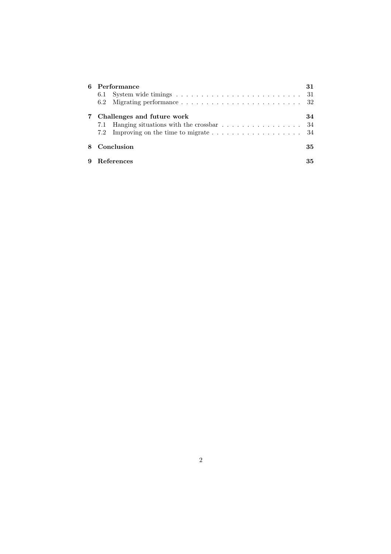| Performance                                                                                                              | 31 |
|--------------------------------------------------------------------------------------------------------------------------|----|
| Challenges and future work<br>Hanging situations with the crossbar $\ldots \ldots \ldots \ldots \ldots \ldots$ 34<br>7.1 | 34 |
| Conclusion<br>35                                                                                                         |    |
| <b>References</b>                                                                                                        | 35 |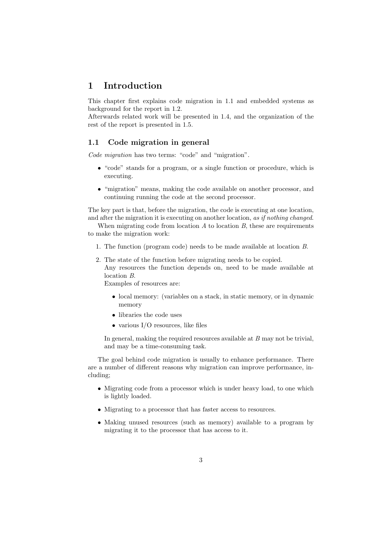### 1 Introduction

This chapter first explains code migration in 1.1 and embedded systems as background for the report in 1.2.

Afterwards related work will be presented in 1.4, and the organization of the rest of the report is presented in 1.5.

### 1.1 Code migration in general

Code migration has two terms: "code" and "migration".

- "code" stands for a program, or a single function or procedure, which is executing.
- "migration" means, making the code available on another processor, and continuing running the code at the second processor.

The key part is that, before the migration, the code is executing at one location, and after the migration it is executing on another location, as if nothing changed.

When migrating code from location  $A$  to location  $B$ , these are requirements to make the migration work:

- 1. The function (program code) needs to be made available at location B.
- 2. The state of the function before migrating needs to be copied. Any resources the function depends on, need to be made available at location B.

Examples of resources are:

- local memory: (variables on a stack, in static memory, or in dynamic memory
- libraries the code uses
- $\bullet$  various I/O resources, like files

In general, making the required resources available at  $B$  may not be trivial, and may be a time-consuming task.

The goal behind code migration is usually to enhance performance. There are a number of different reasons why migration can improve performance, including;

- Migrating code from a processor which is under heavy load, to one which is lightly loaded.
- Migrating to a processor that has faster access to resources.
- Making unused resources (such as memory) available to a program by migrating it to the processor that has access to it.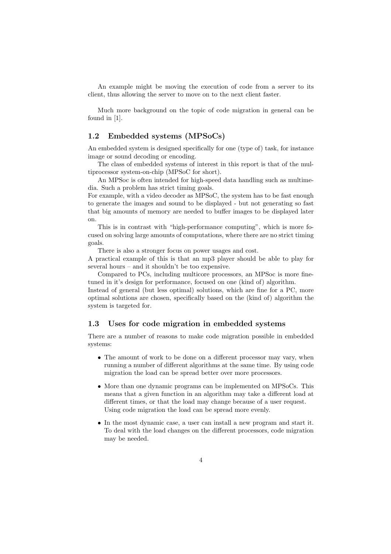An example might be moving the execution of code from a server to its client, thus allowing the server to move on to the next client faster.

Much more background on the topic of code migration in general can be found in [1].

### 1.2 Embedded systems (MPSoCs)

An embedded system is designed specifically for one (type of) task, for instance image or sound decoding or encoding.

The class of embedded systems of interest in this report is that of the multiprocessor system-on-chip (MPSoC for short).

An MPSoc is often intended for high-speed data handling such as multimedia. Such a problem has strict timing goals.

For example, with a video decoder as MPSoC, the system has to be fast enough to generate the images and sound to be displayed - but not generating so fast that big amounts of memory are needed to buffer images to be displayed later on.

This is in contrast with "high-performance computing", which is more focused on solving large amounts of computations, where there are no strict timing goals.

There is also a stronger focus on power usages and cost.

A practical example of this is that an mp3 player should be able to play for several hours – and it shouldn't be too expensive.

Compared to PCs, including multicore processors, an MPSoc is more finetuned in it's design for performance, focused on one (kind of) algorithm.

Instead of general (but less optimal) solutions, which are fine for a PC, more optimal solutions are chosen, specifically based on the (kind of) algorithm the system is targeted for.

### 1.3 Uses for code migration in embedded systems

There are a number of reasons to make code migration possible in embedded systems:

- The amount of work to be done on a different processor may vary, when running a number of different algorithms at the same time. By using code migration the load can be spread better over more processors.
- More than one dynamic programs can be implemented on MPSoCs. This means that a given function in an algorithm may take a different load at different times, or that the load may change because of a user request. Using code migration the load can be spread more evenly.
- In the most dynamic case, a user can install a new program and start it. To deal with the load changes on the different processors, code migration may be needed.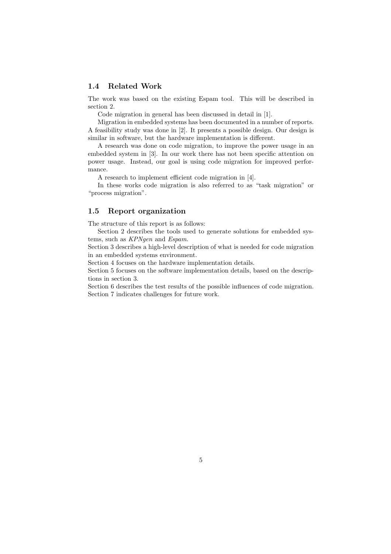### 1.4 Related Work

The work was based on the existing Espam tool. This will be described in section 2.

Code migration in general has been discussed in detail in [1].

Migration in embedded systems has been documented in a number of reports. A feasibility study was done in [2]. It presents a possible design. Our design is similar in software, but the hardware implementation is different.

A research was done on code migration, to improve the power usage in an embedded system in [3]. In our work there has not been specific attention on power usage. Instead, our goal is using code migration for improved performance.

A research to implement efficient code migration in [4].

In these works code migration is also referred to as "task migration" or "process migration".

### 1.5 Report organization

The structure of this report is as follows:

Section 2 describes the tools used to generate solutions for embedded systems, such as KPNgen and Espam.

Section 3 describes a high-level description of what is needed for code migration in an embedded systems environment.

Section 4 focuses on the hardware implementation details.

Section 5 focuses on the software implementation details, based on the descriptions in section 3.

Section 6 describes the test results of the possible influences of code migration. Section 7 indicates challenges for future work.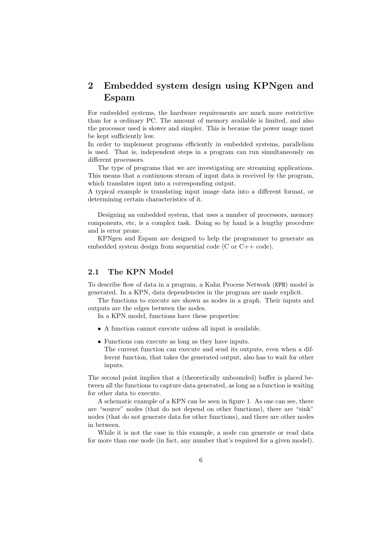## 2 Embedded system design using KPNgen and Espam

For embedded systems, the hardware requirements are much more restrictive than for a ordinary PC. The amount of memory available is limited, and also the processor used is slower and simpler. This is because the power usage must be kept sufficiently low.

In order to implement programs efficiently in embedded systems, parallelism is used. That is, independent steps in a program can run simultaneously on different processors.

The type of programs that we are investigating are streaming applications. This means that a continuous stream of input data is received by the program, which translates input into a corresponding output.

A typical example is translating input image data into a different format, or determining certain characteristics of it.

Designing an embedded system, that uses a number of processors, memory components, etc, is a complex task. Doing so by hand is a lengthy procedure and is error prone.

KPNgen and Espam are designed to help the programmer to generate an embedded system design from sequential code (C or C++ code).

### 2.1 The KPN Model

To describe flow of data in a program, a Kahn Process Network (KPN) model is generated. In a KPN, data dependencies in the program are made explicit.

The functions to execute are shown as nodes in a graph. Their inputs and outputs are the edges between the nodes.

In a KPN model, functions have these properties:

- A function cannot execute unless all input is available.
- Functions can execute as long as they have inputs. The current function can execute and send its outputs, even when a different function, that takes the generated output, also has to wait for other inputs.

The second point implies that a (theoretically unbounded) buffer is placed between all the functions to capture data generated, as long as a function is waiting for other data to execute.

A schematic example of a KPN can be seen in figure 1. As one can see, there are "source" nodes (that do not depend on other functions), there are "sink" nodes (that do not generate data for other functions), and there are other nodes in between.

While it is not the case in this example, a node can generate or read data for more than one node (in fact, any number that's required for a given model).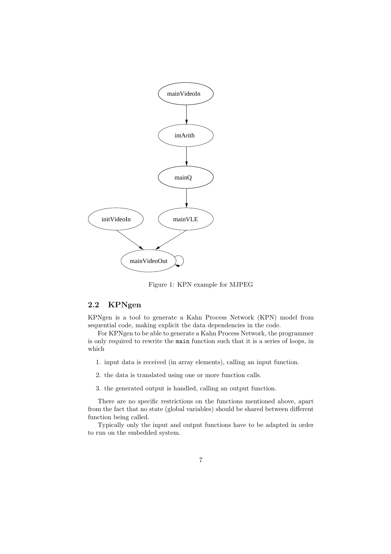

Figure 1: KPN example for MJPEG

### 2.2 KPNgen

KPNgen is a tool to generate a Kahn Process Network (KPN) model from sequential code, making explicit the data dependencies in the code.

For KPNgen to be able to generate a Kahn Process Network, the programmer is only required to rewrite the main function such that it is a series of loops, in which

- 1. input data is received (in array elements), calling an input function.
- 2. the data is translated using one or more function calls.
- 3. the generated output is handled, calling an output function.

There are no specific restrictions on the functions mentioned above, apart from the fact that no state (global variables) should be shared between different function being called.

Typically only the input and output functions have to be adapted in order to run on the embedded system.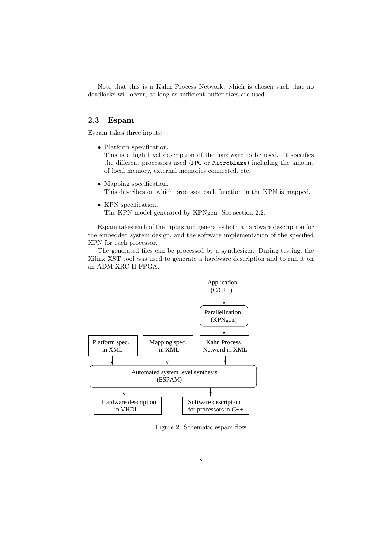Note that this is a Kahn Process Network, which is chosen such that no deadlocks will occur, as long as sufficient buffer sizes are used.

### 2.3 Espam

Espam takes three inputs:

• Platform specification.

This is a high level description of the hardware to be used. It specifies the different processors used (PPC or Microblaze) including the amount of local memory, external memories connected, etc.

- Mapping specification. This describes on which processor each function in the KPN is mapped.
- KPN specification. The KPN model generated by KPNgen. See section 2.2.

Espam takes each of the inputs and generates both a hardware description for the embedded system design, and the software implementation of the specified KPN for each processor.

The generated files can be processed by a synthesizer. During testing, the Xilinx XST tool was used to generate a hardware description and to run it on an ADM-XRC-II FPGA.



Figure 2: Schematic espam flow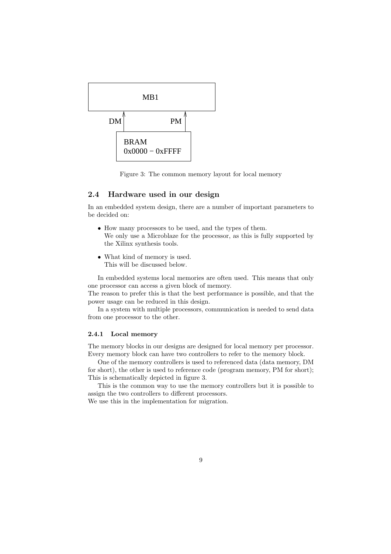

Figure 3: The common memory layout for local memory

### 2.4 Hardware used in our design

In an embedded system design, there are a number of important parameters to be decided on:

- How many processors to be used, and the types of them. We only use a Microblaze for the processor, as this is fully supported by the Xilinx synthesis tools.
- What kind of memory is used. This will be discussed below.

In embedded systems local memories are often used. This means that only one processor can access a given block of memory.

The reason to prefer this is that the best performance is possible, and that the power usage can be reduced in this design.

In a system with multiple processors, communication is needed to send data from one processor to the other.

### 2.4.1 Local memory

The memory blocks in our designs are designed for local memory per processor. Every memory block can have two controllers to refer to the memory block.

One of the memory controllers is used to referenced data (data memory, DM for short), the other is used to reference code (program memory, PM for short); This is schematically depicted in figure 3.

This is the common way to use the memory controllers but it is possible to assign the two controllers to different processors.

We use this in the implementation for migration.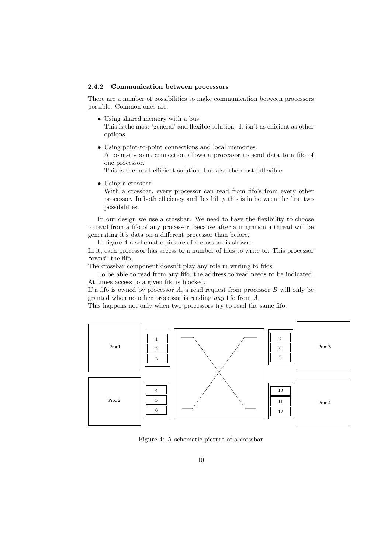#### 2.4.2 Communication between processors

There are a number of possibilities to make communication between processors possible. Common ones are:

- Using shared memory with a bus This is the most 'general' and flexible solution. It isn't as efficient as other options.
- Using point-to-point connections and local memories. A point-to-point connection allows a processor to send data to a fifo of one processor.

This is the most efficient solution, but also the most inflexible.

• Using a crossbar.

With a crossbar, every processor can read from fifo's from every other processor. In both efficiency and flexibility this is in between the first two possibilities.

In our design we use a crossbar. We need to have the flexibility to choose to read from a fifo of any processor, because after a migration a thread will be generating it's data on a different processor than before.

In figure 4 a schematic picture of a crossbar is shown.

In it, each processor has access to a number of fifos to write to. This processor "owns" the fifo.

The crossbar component doesn't play any role in writing to fifos.

To be able to read from any fifo, the address to read needs to be indicated. At times access to a given fifo is blocked.

If a fifo is owned by processor  $A$ , a read request from processor  $B$  will only be granted when no other processor is reading any fifo from A.

This happens not only when two processors try to read the same fifo.



Figure 4: A schematic picture of a crossbar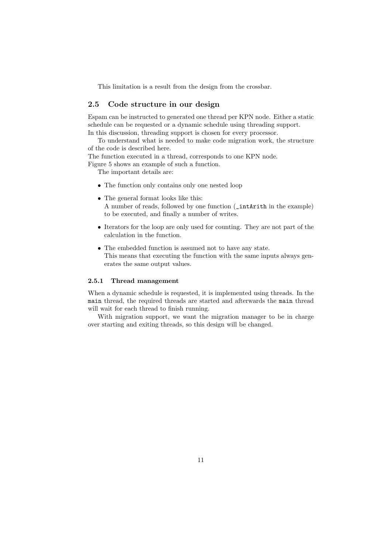This limitation is a result from the design from the crossbar.

### 2.5 Code structure in our design

Espam can be instructed to generated one thread per KPN node. Either a static schedule can be requested or a dynamic schedule using threading support. In this discussion, threading support is chosen for every processor.

To understand what is needed to make code migration work, the structure of the code is described here.

The function executed in a thread, corresponds to one KPN node.

Figure 5 shows an example of such a function.

The important details are:

- The function only contains only one nested loop
- The general format looks like this:
	- A number of reads, followed by one function (\_intArith in the example) to be executed, and finally a number of writes.
- Iterators for the loop are only used for counting. They are not part of the calculation in the function.
- The embedded function is assumed not to have any state. This means that executing the function with the same inputs always generates the same output values.

### 2.5.1 Thread management

When a dynamic schedule is requested, it is implemented using threads. In the main thread, the required threads are started and afterwards the main thread will wait for each thread to finish running.

With migration support, we want the migration manager to be in charge over starting and exiting threads, so this design will be changed.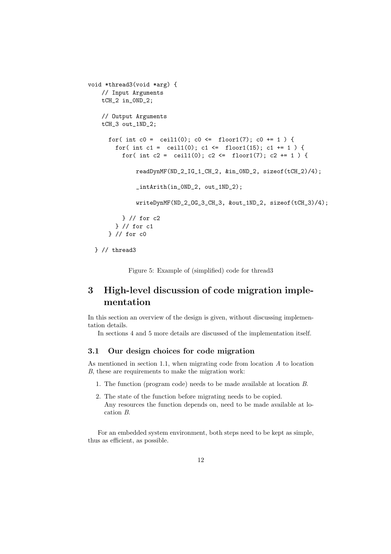```
void *thread3(void *arg) {
    // Input Arguments
    tCH_2 in_0ND_2;
    // Output Arguments
    tCH_3 out_1ND_2;
      for( int c0 = \text{ceil1}(0); c0 \leq \text{floor1}(7); c0 += 1) {
        for( int c1 = ceil1(0); c1 <= floor1(15); c1 += 1) {
          for( int c2 = ceil1(0); c2 <= floor1(7); c2 += 1 ) {
              readDynMF(ND_2_IG_1_CH_2, &in_0ND_2, sizeof(tCH_2)/4);
              _intArith(in_0ND_2, out_1ND_2);
              writeDynMF(ND_2_OG_3_CH_3, &out_1ND_2, sizeof(tCH_3)/4);
          } // for c2
        } // for c1
      } // for c0
```
} // thread3

Figure 5: Example of (simplified) code for thread3

## 3 High-level discussion of code migration implementation

In this section an overview of the design is given, without discussing implementation details.

In sections 4 and 5 more details are discussed of the implementation itself.

### 3.1 Our design choices for code migration

As mentioned in section 1.1, when migrating code from location  $A$  to location B, these are requirements to make the migration work:

- 1. The function (program code) needs to be made available at location B.
- 2. The state of the function before migrating needs to be copied. Any resources the function depends on, need to be made available at location B.

For an embedded system environment, both steps need to be kept as simple, thus as efficient, as possible.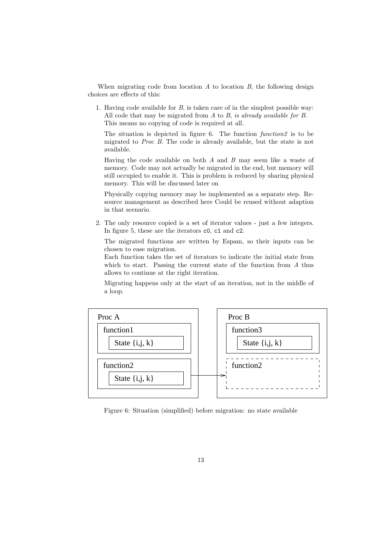When migrating code from location  $A$  to location  $B$ , the following design choices are effects of this:

1. Having code available for B, is taken care of in the simplest possible way: All code that may be migrated from  $A$  to  $B$ , is already available for  $B$ . This means no copying of code is required at all.

The situation is depicted in figure 6. The function function 2 is to be migrated to Proc B. The code is already available, but the state is not available.

Having the code available on both  $A$  and  $B$  may seem like a waste of memory. Code may not actually be migrated in the end, but memory will still occupied to enable it. This is problem is reduced by sharing physical memory. This will be discussed later on

Physically copying memory may be implemented as a separate step. Resource management as described here Could be reused without adaption in that scenario.

2. The only resource copied is a set of iterator values - just a few integers. In figure 5, these are the iterators c0, c1 and c2.

The migrated functions are written by Espam, so their inputs can be chosen to ease migration.

Each function takes the set of iterators to indicate the initial state from which to start. Passing the current state of the function from A thus allows to continue at the right iteration.

Migrating happens only at the start of an iteration, not in the middle of a loop.



Figure 6: Situation (simplified) before migration: no state available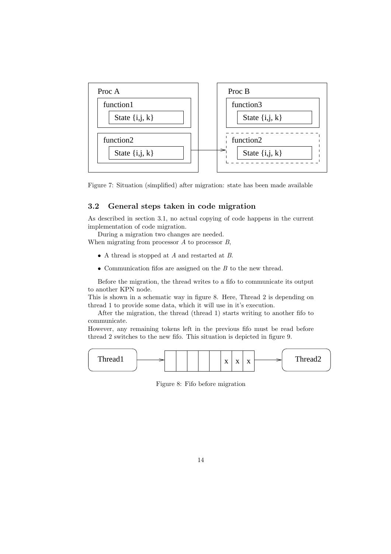



### 3.2 General steps taken in code migration

As described in section 3.1, no actual copying of code happens in the current implementation of code migration.

During a migration two changes are needed. When migrating from processor  $A$  to processor  $B$ ,

- A thread is stopped at A and restarted at B.
- Communication fifos are assigned on the  $B$  to the new thread.

Before the migration, the thread writes to a fifo to communicate its output to another KPN node.

This is shown in a schematic way in figure 8. Here, Thread 2 is depending on thread 1 to provide some data, which it will use in it's execution.

After the migration, the thread (thread 1) starts writing to another fifo to communicate.

However, any remaining tokens left in the previous fifo must be read before thread 2 switches to the new fifo. This situation is depicted in figure 9.



Figure 8: Fifo before migration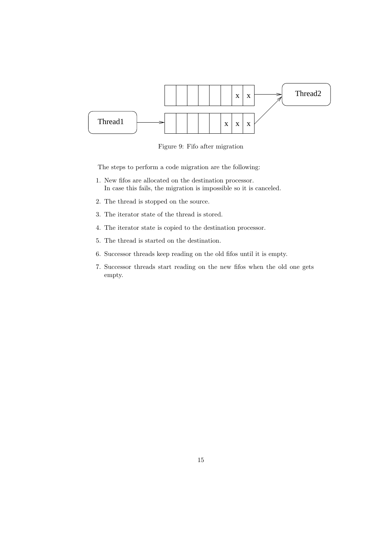

Figure 9: Fifo after migration

The steps to perform a code migration are the following:

- 1. New fifos are allocated on the destination processor. In case this fails, the migration is impossible so it is canceled.
- 2. The thread is stopped on the source.
- 3. The iterator state of the thread is stored.
- 4. The iterator state is copied to the destination processor.
- 5. The thread is started on the destination.
- 6. Successor threads keep reading on the old fifos until it is empty.
- 7. Successor threads start reading on the new fifos when the old one gets empty.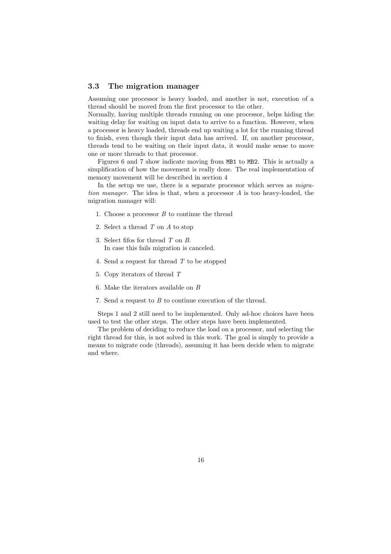### 3.3 The migration manager

Assuming one processor is heavy loaded, and another is not, execution of a thread should be moved from the first processor to the other.

Normally, having multiple threads running on one processor, helps hiding the waiting delay for waiting on input data to arrive to a function. However, when a processor is heavy loaded, threads end up waiting a lot for the running thread to finish, even though their input data has arrived. If, on another processor, threads tend to be waiting on their input data, it would make sense to move one or more threads to that processor.

Figures 6 and 7 show indicate moving from MB1 to MB2. This is actually a simplification of how the movement is really done. The real implementation of memory movement will be described in section 4

In the setup we use, there is a separate processor which serves as *migra*tion manager. The idea is that, when a processor A is too heavy-loaded, the migration manager will:

- 1. Choose a processor  $B$  to continue the thread
- 2. Select a thread T on A to stop
- 3. Select fifos for thread T on B. In case this fails migration is canceled.
- 4. Send a request for thread T to be stopped
- 5. Copy iterators of thread T
- 6. Make the iterators available on B
- 7. Send a request to B to continue execution of the thread.

Steps 1 and 2 still need to be implemented. Only ad-hoc choices have been used to test the other steps. The other steps have been implemented.

The problem of deciding to reduce the load on a processor, and selecting the right thread for this, is not solved in this work. The goal is simply to provide a means to migrate code (threads), assuming it has been decide when to migrate and where.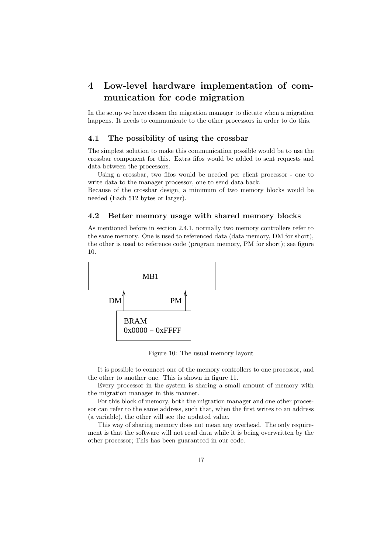# 4 Low-level hardware implementation of communication for code migration

In the setup we have chosen the migration manager to dictate when a migration happens. It needs to communicate to the other processors in order to do this.

### 4.1 The possibility of using the crossbar

The simplest solution to make this communication possible would be to use the crossbar component for this. Extra fifos would be added to sent requests and data between the processors.

Using a crossbar, two fifos would be needed per client processor - one to write data to the manager processor, one to send data back.

Because of the crossbar design, a minimum of two memory blocks would be needed (Each 512 bytes or larger).

### 4.2 Better memory usage with shared memory blocks

As mentioned before in section 2.4.1, normally two memory controllers refer to the same memory. One is used to referenced data (data memory, DM for short), the other is used to reference code (program memory, PM for short); see figure 10.



Figure 10: The usual memory layout

It is possible to connect one of the memory controllers to one processor, and the other to another one. This is shown in figure 11.

Every processor in the system is sharing a small amount of memory with the migration manager in this manner.

For this block of memory, both the migration manager and one other processor can refer to the same address, such that, when the first writes to an address (a variable), the other will see the updated value.

This way of sharing memory does not mean any overhead. The only requirement is that the software will not read data while it is being overwritten by the other processor; This has been guaranteed in our code.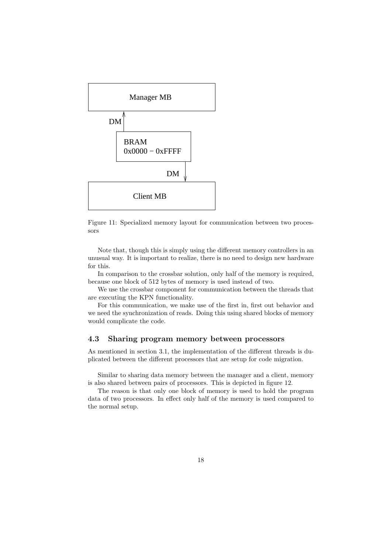

Figure 11: Specialized memory layout for communication between two processors

Note that, though this is simply using the different memory controllers in an unusual way. It is important to realize, there is no need to design new hardware for this.

In comparison to the crossbar solution, only half of the memory is required, because one block of 512 bytes of memory is used instead of two.

We use the crossbar component for communication between the threads that are executing the KPN functionality.

For this communication, we make use of the first in, first out behavior and we need the synchronization of reads. Doing this using shared blocks of memory would complicate the code.

### 4.3 Sharing program memory between processors

As mentioned in section 3.1, the implementation of the different threads is duplicated between the different processors that are setup for code migration.

Similar to sharing data memory between the manager and a client, memory is also shared between pairs of processors. This is depicted in figure 12.

The reason is that only one block of memory is used to hold the program data of two processors. In effect only half of the memory is used compared to the normal setup.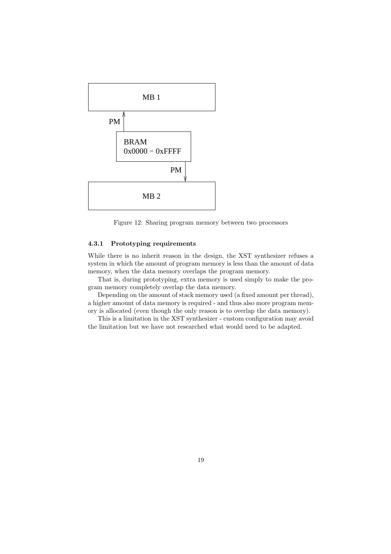

Figure 12: Sharing program memory between two processors

### 4.3.1 Prototyping requirements

While there is no inherit reason in the design, the XST synthesizer refuses a system in which the amount of program memory is less than the amount of data memory, when the data memory overlaps the program memory.

That is, during prototyping, extra memory is used simply to make the program memory completely overlap the data memory.

Depending on the amount of stack memory used (a fixed amount per thread), a higher amount of data memory is required - and thus also more program memory is allocated (even though the only reason is to overlap the data memory).

This is a limitation in the XST synthesizer - custom configuration may avoid the limitation but we have not researched what would need to be adapted.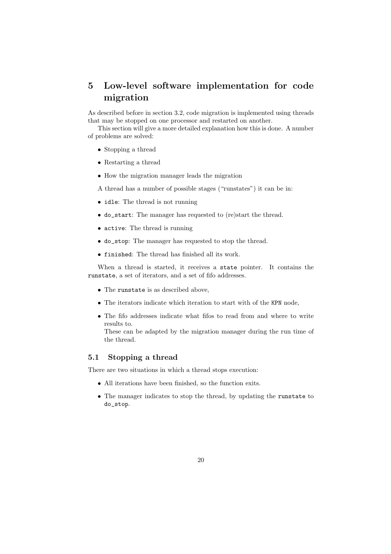# 5 Low-level software implementation for code migration

As described before in section 3.2, code migration is implemented using threads that may be stopped on one processor and restarted on another.

This section will give a more detailed explanation how this is done. A number of problems are solved:

- Stopping a thread
- Restarting a thread
- How the migration manager leads the migration

A thread has a number of possible stages ("runstates") it can be in:

- idle: The thread is not running
- do\_start: The manager has requested to (re)start the thread.
- active: The thread is running
- do\_stop: The manager has requested to stop the thread.
- finished: The thread has finished all its work.

When a thread is started, it receives a state pointer. It contains the runstate, a set of iterators, and a set of fifo addresses.

- The runstate is as described above,
- The iterators indicate which iteration to start with of the KPN node,
- The fifo addresses indicate what fifos to read from and where to write results to.

These can be adapted by the migration manager during the run time of the thread.

### 5.1 Stopping a thread

There are two situations in which a thread stops execution:

- All iterations have been finished, so the function exits.
- The manager indicates to stop the thread, by updating the runstate to do\_stop.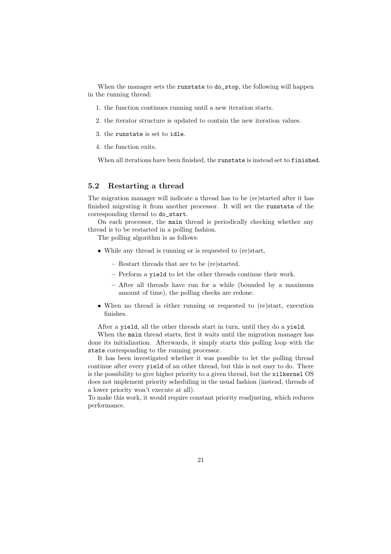When the manager sets the runstate to do\_stop, the following will happen in the running thread:

- 1. the function continues running until a new iteration starts.
- 2. the iterator structure is updated to contain the new iteration values.
- 3. the runstate is set to idle.
- 4. the function exits.

When all iterations have been finished, the runstate is instead set to finished.

### 5.2 Restarting a thread

The migration manager will indicate a thread has to be (re)started after it has finished migrating it from another processor. It will set the runstate of the corresponding thread to do\_start.

On each processor, the main thread is periodically checking whether any thread is to be restarted in a polling fashion.

The polling algorithm is as follows:

- While any thread is running or is requested to (re)start,
	- Restart threads that are to be (re)started.
	- Perform a yield to let the other threads continue their work.
	- After all threads have run for a while (bounded by a maximum amount of time), the polling checks are redone.
- When no thread is either running or requested to (re)start, execution finishes.

After a yield, all the other threads start in turn, until they do a yield.

When the main thread starts, first it waits until the migration manager has done its initialization. Afterwards, it simply starts this polling loop with the state corresponding to the running processor.

It has been investigated whether it was possible to let the polling thread continue after every yield of an other thread, but this is not easy to do. There is the possibility to give higher priority to a given thread, but the xilkernel OS does not implement priority scheduling in the usual fashion (instead, threads of a lower priority won't execute at all).

To make this work, it would require constant priority readjusting, which reduces performance.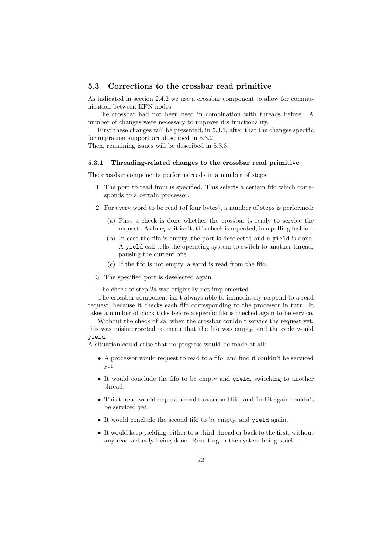### 5.3 Corrections to the crossbar read primitive

As indicated in section 2.4.2 we use a crossbar component to allow for communication between KPN nodes.

The crossbar had not been used in combination with threads before. A number of changes were necessary to improve it's functionality.

First these changes will be presented, in 5.3.1, after that the changes specific for migration support are described in 5.3.2.

Then, remaining issues will be described in 5.3.3.

### 5.3.1 Threading-related changes to the crossbar read primitive

The crossbar components performs reads in a number of steps:

- 1. The port to read from is specified. This selects a certain fifo which corresponds to a certain processor.
- 2. For every word to be read (of four bytes), a number of steps is performed:
	- (a) First a check is done whether the crossbar is ready to service the request. As long as it isn't, this check is repeated, in a polling fashion.
	- (b) In case the fifo is empty, the port is deselected and a yield is done. A yield call tells the operating system to switch to another thread, pausing the current one.
	- (c) If the fifo is not empty, a word is read from the fifo.
- 3. The specified port is deselected again.

The check of step 2a was originally not implemented.

The crossbar component isn't always able to immediately respond to a read request, because it checks each fifo corresponding to the processor in turn. It takes a number of clock ticks before a specific fifo is checked again to be service.

Without the check of 2a, when the crossbar couldn't service the request yet, this was misinterpreted to mean that the fifo was empty, and the code would yield.

A situation could arise that no progress would be made at all:

- A processor would request to read to a fifo, and find it couldn't be serviced yet.
- It would conclude the fifo to be empty and yield, switching to another thread.
- This thread would request a read to a second fifo, and find it again couldn't be serviced yet.
- It would conclude the second fifo to be empty, and yield again.
- It would keep yielding, either to a third thread or back to the first, without any read actually being done. Resulting in the system being stuck.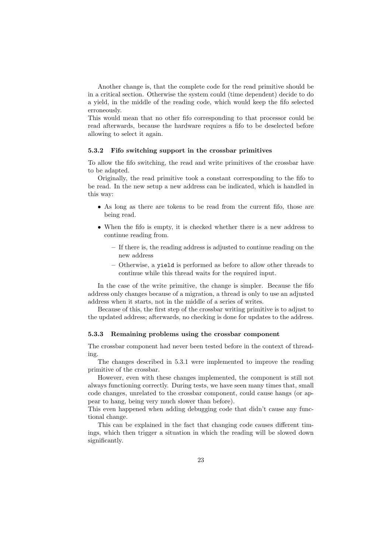Another change is, that the complete code for the read primitive should be in a critical section. Otherwise the system could (time dependent) decide to do a yield, in the middle of the reading code, which would keep the fifo selected erroneously.

This would mean that no other fifo corresponding to that processor could be read afterwards, because the hardware requires a fifo to be deselected before allowing to select it again.

#### 5.3.2 Fifo switching support in the crossbar primitives

To allow the fifo switching, the read and write primitives of the crossbar have to be adapted.

Originally, the read primitive took a constant corresponding to the fifo to be read. In the new setup a new address can be indicated, which is handled in this way:

- As long as there are tokens to be read from the current fifo, those are being read.
- When the fifo is empty, it is checked whether there is a new address to continue reading from.
	- If there is, the reading address is adjusted to continue reading on the new address
	- Otherwise, a yield is performed as before to allow other threads to continue while this thread waits for the required input.

In the case of the write primitive, the change is simpler. Because the fifo address only changes because of a migration, a thread is only to use an adjusted address when it starts, not in the middle of a series of writes.

Because of this, the first step of the crossbar writing primitive is to adjust to the updated address; afterwards, no checking is done for updates to the address.

### 5.3.3 Remaining problems using the crossbar component

The crossbar component had never been tested before in the context of threading.

The changes described in 5.3.1 were implemented to improve the reading primitive of the crossbar.

However, even with these changes implemented, the component is still not always functioning correctly. During tests, we have seen many times that, small code changes, unrelated to the crossbar component, could cause hangs (or appear to hang, being very much slower than before).

This even happened when adding debugging code that didn't cause any functional change.

This can be explained in the fact that changing code causes different timings, which then trigger a situation in which the reading will be slowed down significantly.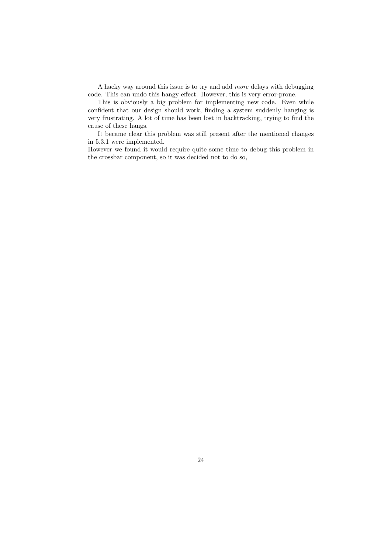A hacky way around this issue is to try and add more delays with debugging code. This can undo this hangy effect. However, this is very error-prone.

This is obviously a big problem for implementing new code. Even while confident that our design should work, finding a system suddenly hanging is very frustrating. A lot of time has been lost in backtracking, trying to find the cause of these hangs.

It became clear this problem was still present after the mentioned changes in 5.3.1 were implemented.

However we found it would require quite some time to debug this problem in the crossbar component, so it was decided not to do so,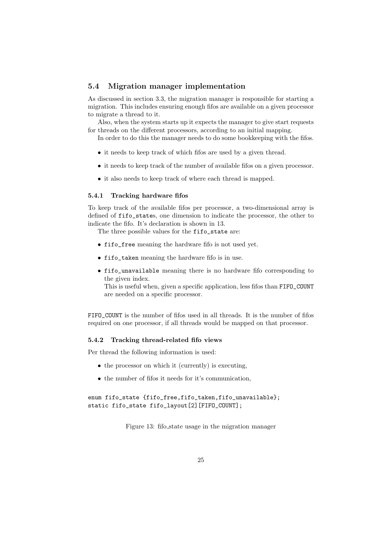### 5.4 Migration manager implementation

As discussed in section 3.3, the migration manager is responsible for starting a migration. This includes ensuring enough fifos are available on a given processor to migrate a thread to it.

Also, when the system starts up it expects the manager to give start requests for threads on the different processors, according to an initial mapping.

In order to do this the manager needs to do some bookkeeping with the fifos.

- it needs to keep track of which fifos are used by a given thread.
- it needs to keep track of the number of available fifos on a given processor.
- it also needs to keep track of where each thread is mapped.

#### 5.4.1 Tracking hardware fifos

To keep track of the available fifos per processor, a two-dimensional array is defined of fifo\_states, one dimension to indicate the processor, the other to indicate the fifo. It's declaration is shown in 13.

The three possible values for the fifo state are:

- fifo\_free meaning the hardware fifo is not used yet.
- fifo\_taken meaning the hardware fifo is in use.
- fifo\_unavailable meaning there is no hardware fifo corresponding to the given index.

This is useful when, given a specific application, less fifos than FIFO\_COUNT are needed on a specific processor.

FIFO COUNT is the number of fifos used in all threads. It is the number of fifos required on one processor, if all threads would be mapped on that processor.

#### 5.4.2 Tracking thread-related fifo views

Per thread the following information is used:

- the processor on which it (currently) is executing,
- the number of fifos it needs for it's communication,

### enum fifo\_state {fifo\_free,fifo\_taken,fifo\_unavailable}; static fifo\_state fifo\_layout[2][FIFO\_COUNT];

Figure 13: fifo state usage in the migration manager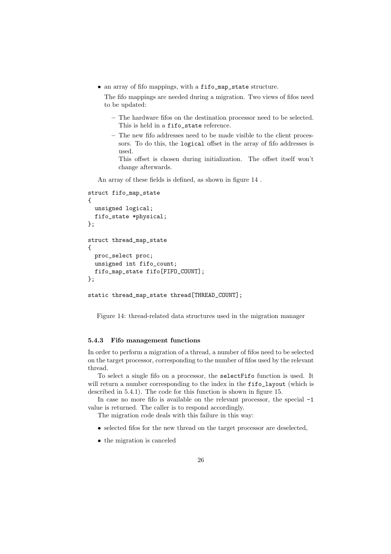• an array of fifo mappings, with a fifo\_map\_state structure.

The fifo mappings are needed during a migration. Two views of fifos need to be updated:

- The hardware fifos on the destination processor need to be selected. This is held in a fifo\_state reference.
- The new fifo addresses need to be made visible to the client processors. To do this, the logical offset in the array of fifo addresses is used.

This offset is chosen during initialization. The offset itself won't change afterwards.

An array of these fields is defined, as shown in figure 14 .

```
struct fifo_map_state
{
 unsigned logical;
  fifo_state *physical;
};
struct thread_map_state
{
 proc_select proc;
 unsigned int fifo count:
  fifo_map_state fifo[FIFO_COUNT];
};
static thread_map_state thread[THREAD_COUNT];
```
Figure 14: thread-related data structures used in the migration manager

#### 5.4.3 Fifo management functions

In order to perform a migration of a thread, a number of fifos need to be selected on the target processor, corresponding to the number of fifos used by the relevant thread.

To select a single fifo on a processor, the selectFifo function is used. It will return a number corresponding to the index in the fifo\_layout (which is described in 5.4.1). The code for this function is shown in figure 15.

In case no more fifo is available on the relevant processor, the special -1 value is returned. The caller is to respond accordingly.

The migration code deals with this failure in this way:

- selected fifos for the new thread on the target processor are deselected,
- the migration is canceled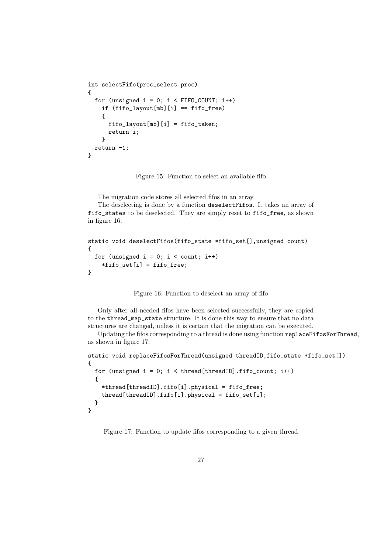```
int selectFifo(proc_select proc)
{
  for (unsigned i = 0; i < FIFO_COUNT; i++)
    if (fifo_layout[mb][i] == fifo_free)
    {
      fifo_layout[mb][i] = fifo_taken;
      return i;
    }
 return -1;
}
```
Figure 15: Function to select an available fifo

The migration code stores all selected fifos in an array.

The deselecting is done by a function deselectFifos. It takes an array of fifo\_states to be deselected. They are simply reset to fifo\_free, as shown in figure 16.

```
static void deselectFifos(fifo_state *fifo_set[],unsigned count)
{
  for (unsigned i = 0; i < count; i++)*fifo_set[i] = fifo_free;
}
```
Figure 16: Function to deselect an array of fifo

Only after all needed fifos have been selected successfully, they are copied to the thread\_map\_state structure. It is done this way to ensure that no data structures are changed, unless it is certain that the migration can be executed.

Updating the fifos corresponding to a thread is done using function replaceFifosForThread, as shown in figure 17.

```
static void replaceFifosForThread(unsigned threadID,fifo_state *fifo_set[])
{
 for (unsigned i = 0; i < thread[threadID] .fito_count; i++){
    *thread[threadID].fifo[i].physical = fifo_free;
    thread[threadID].fifo[i].physical = fifo_set[i];
  }
}
```
Figure 17: Function to update fifos corresponding to a given thread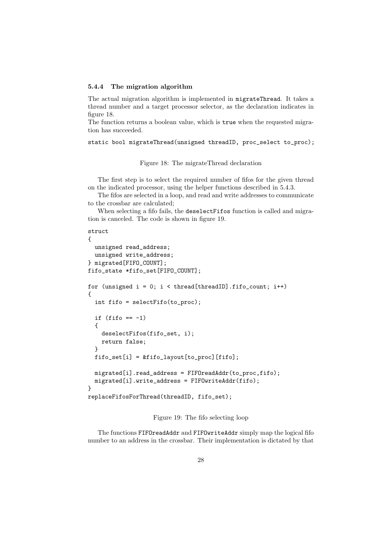#### 5.4.4 The migration algorithm

The actual migration algorithm is implemented in migrateThread. It takes a thread number and a target processor selector, as the declaration indicates in figure 18.

The function returns a boolean value, which is true when the requested migration has succeeded.

```
static bool migrateThread(unsigned threadID, proc_select to_proc);
```
Figure 18: The migrateThread declaration

The first step is to select the required number of fifos for the given thread on the indicated processor, using the helper functions described in 5.4.3.

The fifos are selected in a loop, and read and write addresses to communicate to the crossbar are calculated;

When selecting a fifo fails, the deselectFifos function is called and migration is canceled. The code is shown in figure 19.

```
struct
{
  unsigned read_address;
  unsigned write_address;
} migrated[FIFO_COUNT];
fifo_state *fifo_set[FIFO_COUNT];
for (unsigned i = 0; i < thread[threadID].fifo_count; i++){
  int fifo = selectFifo(to_proc);
  if (fifo == -1){
    deselectFifos(fifo_set, i);
    return false;
  }
 fifo_set[i] = & fifo_layout[to_proc][fifo];migrated[i].read_address = FIFOreadAddr(to_proc,fifo);
 migrated[i].write_address = FIFOwriteAddr(fifo);
}
replaceFifosForThread(threadID, fifo_set);
```
Figure 19: The fifo selecting loop

The functions FIFOreadAddr and FIFOwriteAddr simply map the logical fifo number to an address in the crossbar. Their implementation is dictated by that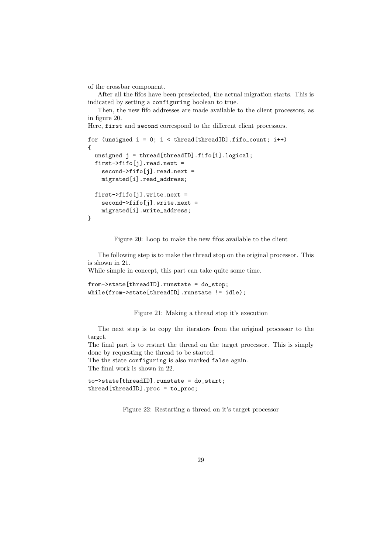of the crossbar component.

After all the fifos have been preselected, the actual migration starts. This is indicated by setting a configuring boolean to true.

Then, the new fifo addresses are made available to the client processors, as in figure 20.

Here, first and second correspond to the different client processors.

```
for (unsigned i = 0; i < thread[threadID].fifo_count; i++)
{
  unsigned j = \text{thread}[{\text{threadID}}].fifo[i].logical;
  first->fifo[j].read.next =
    second->fifo[j].read.next =
    migrated[i].read_address;
  first->fifo[j].write.next =
    second->fifo[j].write.next =
    migrated[i].write_address;
}
```
Figure 20: Loop to make the new fifos available to the client

The following step is to make the thread stop on the original processor. This is shown in 21.

While simple in concept, this part can take quite some time.

```
from->state[threadID].runstate = do_stop;
while(from->state[threadID].runstate != idle);
```
Figure 21: Making a thread stop it's execution

The next step is to copy the iterators from the original processor to the target.

The final part is to restart the thread on the target processor. This is simply done by requesting the thread to be started. The the state configuring is also marked false again.

The final work is shown in 22.

to->state[threadID].runstate = do\_start; thread[threadID].proc = to\_proc;

Figure 22: Restarting a thread on it's target processor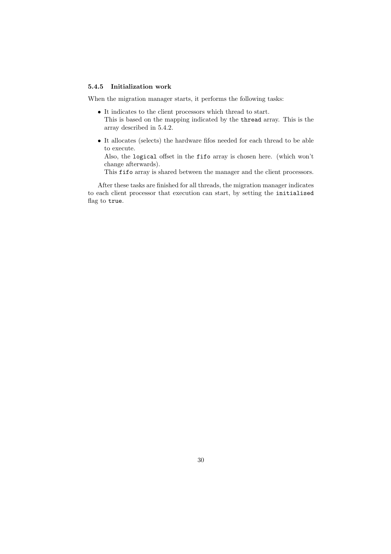### 5.4.5 Initialization work

When the migration manager starts, it performs the following tasks:

- It indicates to the client processors which thread to start. This is based on the mapping indicated by the thread array. This is the array described in 5.4.2.
- It allocates (selects) the hardware fifos needed for each thread to be able to execute.

Also, the logical offset in the fifo array is chosen here. (which won't change afterwards).

This fifo array is shared between the manager and the client processors.

After these tasks are finished for all threads, the migration manager indicates to each client processor that execution can start, by setting the initialised flag to true.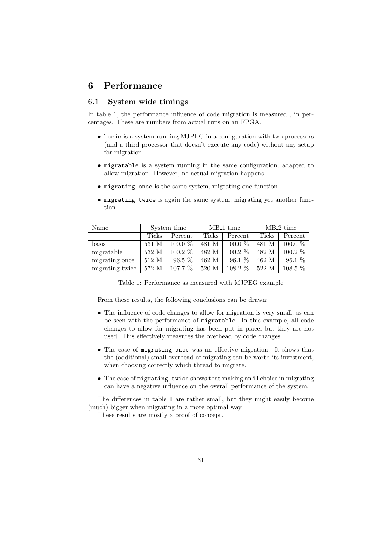### 6 Performance

### 6.1 System wide timings

In table 1, the performance influence of code migration is measured , in percentages. These are numbers from actual runs on an FPGA.

- basis is a system running MJPEG in a configuration with two processors (and a third processor that doesn't execute any code) without any setup for migration.
- migratable is a system running in the same configuration, adapted to allow migration. However, no actual migration happens.
- migrating once is the same system, migrating one function
- migrating twice is again the same system, migrating yet another function

| Name            | System time |                      | $MB_1$ time      |           | $MB_2$ time |           |
|-----------------|-------------|----------------------|------------------|-----------|-------------|-----------|
|                 | Ticks       | Percent              | Ticks            | Percent   | Ticks       | Percent   |
| basis           | 531 M       | $100.0 \%$           | 481 M            | $100.0\%$ | 481 M       | $100.0\%$ |
| migratable      | 532 M       | $100.2\%$            | 482 M            | $100.2\%$ | 482 M       | $100.2\%$ |
| migrating once  | 512 M       | $96.5\%$             | 462 M            | $96.1\%$  | 462 M       | $96.1\%$  |
| migrating twice | 572 M       | $107.\overline{7\%}$ | $520~\mathrm{M}$ | $108.2\%$ | 522 M       | $108.5\%$ |

Table 1: Performance as measured with MJPEG example

From these results, the following conclusions can be drawn:

- The influence of code changes to allow for migration is very small, as can be seen with the performance of migratable. In this example, all code changes to allow for migrating has been put in place, but they are not used. This effectively measures the overhead by code changes.
- The case of migrating once was an effective migration. It shows that the (additional) small overhead of migrating can be worth its investment, when choosing correctly which thread to migrate.
- The case of migrating twice shows that making an ill choice in migrating can have a negative influence on the overall performance of the system.

The differences in table 1 are rather small, but they might easily become (much) bigger when migrating in a more optimal way.

These results are mostly a proof of concept.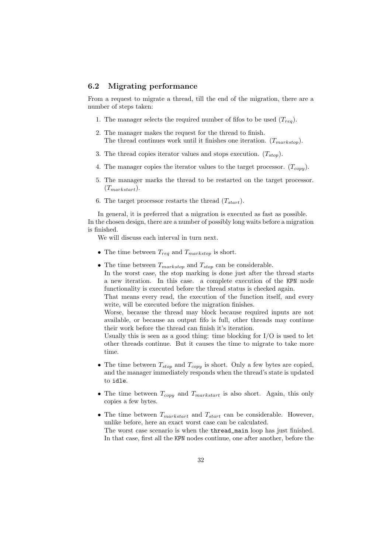### 6.2 Migrating performance

From a request to migrate a thread, till the end of the migration, there are a number of steps taken:

- 1. The manager selects the required number of fifos to be used  $(T_{rea})$ .
- 2. The manager makes the request for the thread to finish. The thread continues work until it finishes one iteration.  $(T_{markstop})$ .
- 3. The thread copies iterator values and stops execution.  $(T_{stop})$ .
- 4. The manager copies the iterator values to the target processor.  $(T_{copy})$ .
- 5. The manager marks the thread to be restarted on the target processor.  $(T_{markstart}).$
- 6. The target processor restarts the thread  $(T_{start})$ .

In general, it is preferred that a migration is executed as fast as possible. In the chosen design, there are a number of possibly long waits before a migration is finished.

We will discuss each interval in turn next.

- The time between  $T_{req}$  and  $T_{markstop}$  is short.
- The time between  $T_{markstop}$  and  $T_{stop}$  can be considerable. In the worst case, the stop marking is done just after the thread starts a new iteration. In this case. a complete execution of the KPN node functionality is executed before the thread status is checked again.

That means every read, the execution of the function itself, and every write, will be executed before the migration finishes.

Worse, because the thread may block because required inputs are not available, or because an output fifo is full, other threads may continue their work before the thread can finish it's iteration.

Usually this is seen as a good thing: time blocking for  $I/O$  is used to let other threads continue. But it causes the time to migrate to take more time.

- The time between  $T_{stop}$  and  $T_{copy}$  is short. Only a few bytes are copied, and the manager immediately responds when the thread's state is updated to idle.
- The time between  $T_{copy}$  and  $T_{markstart}$  is also short. Again, this only copies a few bytes.
- The time between  $T_{markstart}$  and  $T_{start}$  can be considerable. However, unlike before, here an exact worst case can be calculated. The worst case scenario is when the thread\_main loop has just finished. In that case, first all the KPN nodes continue, one after another, before the

32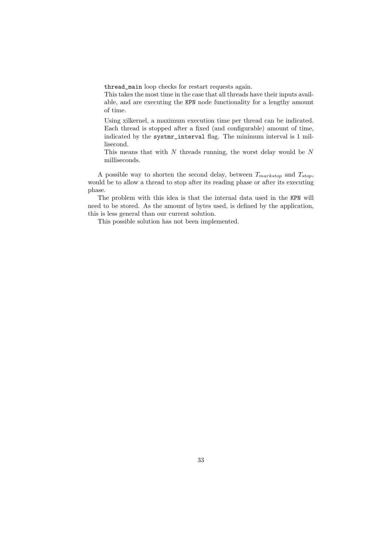thread\_main loop checks for restart requests again.

This takes the most time in the case that all threads have their inputs available, and are executing the KPN node functionality for a lengthy amount of time.

Using xilkernel, a maximum execution time per thread can be indicated. Each thread is stopped after a fixed (and configurable) amount of time, indicated by the systmr\_interval flag. The minimum interval is 1 millisecond.

This means that with  $N$  threads running, the worst delay would be  $N$ milliseconds.

A possible way to shorten the second delay, between  $T_{markstop}$  and  $T_{stop}$ , would be to allow a thread to stop after its reading phase or after its executing phase.

The problem with this idea is that the internal data used in the KPN will need to be stored. As the amount of bytes used, is defined by the application, this is less general than our current solution.

This possible solution has not been implemented.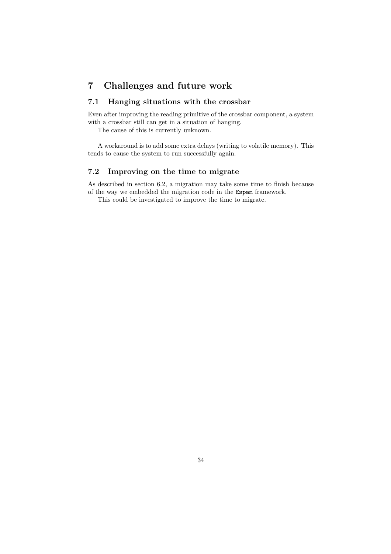### 7 Challenges and future work

### 7.1 Hanging situations with the crossbar

Even after improving the reading primitive of the crossbar component, a system with a crossbar still can get in a situation of hanging.

The cause of this is currently unknown.

A workaround is to add some extra delays (writing to volatile memory). This tends to cause the system to run successfully again.

### 7.2 Improving on the time to migrate

As described in section 6.2, a migration may take some time to finish because of the way we embedded the migration code in the Espam framework.

This could be investigated to improve the time to migrate.